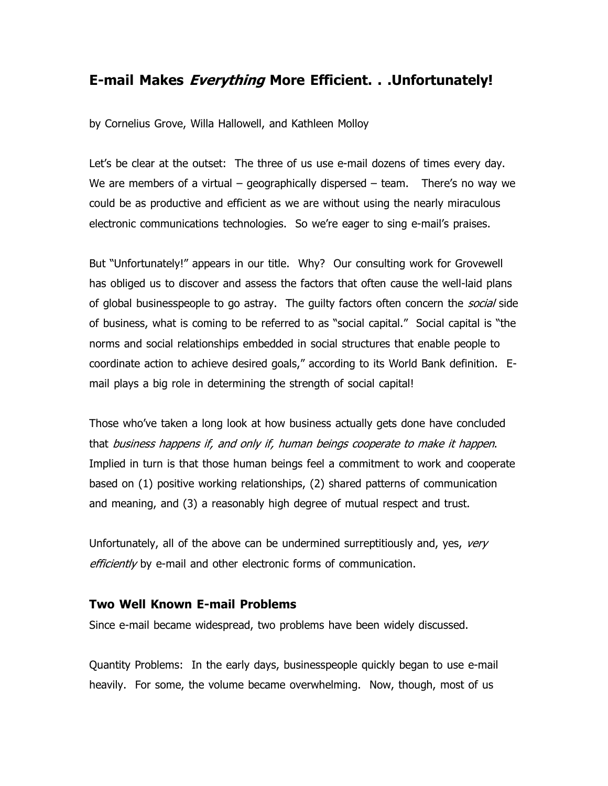# E-mail Makes Everything More Efficient. . . Unfortunately!

by Cornelius Grove, Willa Hallowell, and Kathleen Molloy

Let's be clear at the outset: The three of us use e-mail dozens of times every day. We are members of a virtual – geographically dispersed – team. There's no way we could be as productive and efficient as we are without using the nearly miraculous electronic communications technologies. So we're eager to sing e-mail's praises.

But "Unfortunately!" appears in our title. Why? Our consulting work for Grovewell has obliged us to discover and assess the factors that often cause the well-laid plans of global businesspeople to go astray. The guilty factors often concern the *social* side of business, what is coming to be referred to as "social capital." Social capital is "the norms and social relationships embedded in social structures that enable people to coordinate action to achieve desired goals," according to its World Bank definition. Email plays a big role in determining the strength of social capital!

Those who've taken a long look at how business actually gets done have concluded that business happens if, and only if, human beings cooperate to make it happen. Implied in turn is that those human beings feel a commitment to work and cooperate based on (1) positive working relationships, (2) shared patterns of communication and meaning, and (3) a reasonably high degree of mutual respect and trust.

Unfortunately, all of the above can be undermined surreptitiously and, yes, very efficiently by e-mail and other electronic forms of communication.

#### Two Well Known E-mail Problems

Since e-mail became widespread, two problems have been widely discussed.

Quantity Problems: In the early days, businesspeople quickly began to use e-mail heavily. For some, the volume became overwhelming. Now, though, most of us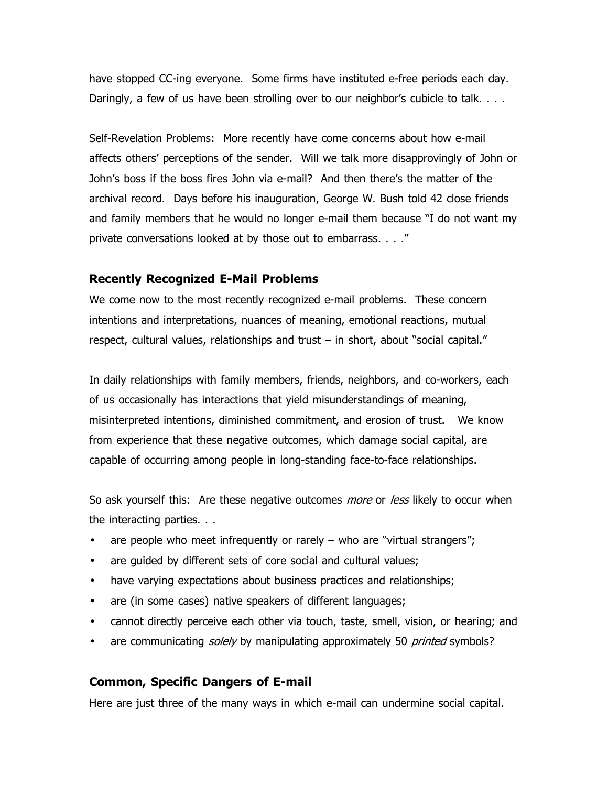have stopped CC-ing everyone. Some firms have instituted e-free periods each day. Daringly, a few of us have been strolling over to our neighbor's cubicle to talk. . . .

Self-Revelation Problems: More recently have come concerns about how e-mail affects others' perceptions of the sender. Will we talk more disapprovingly of John or John's boss if the boss fires John via e-mail? And then there's the matter of the archival record. Days before his inauguration, George W. Bush told 42 close friends and family members that he would no longer e-mail them because "I do not want my private conversations looked at by those out to embarrass. . . ."

# Recently Recognized E-Mail Problems

We come now to the most recently recognized e-mail problems. These concern intentions and interpretations, nuances of meaning, emotional reactions, mutual respect, cultural values, relationships and trust – in short, about "social capital."

In daily relationships with family members, friends, neighbors, and co-workers, each of us occasionally has interactions that yield misunderstandings of meaning, misinterpreted intentions, diminished commitment, and erosion of trust. We know from experience that these negative outcomes, which damage social capital, are capable of occurring among people in long-standing face-to-face relationships.

So ask yourself this: Are these negative outcomes *more* or *less* likely to occur when the interacting parties. . .

- are people who meet infrequently or rarely  $-$  who are "virtual strangers";
- are guided by different sets of core social and cultural values;
- have varying expectations about business practices and relationships;
- are (in some cases) native speakers of different languages;
- cannot directly perceive each other via touch, taste, smell, vision, or hearing; and
- are communicating *solely* by manipulating approximately 50 *printed* symbols?

## Common, Specific Dangers of E-mail

Here are just three of the many ways in which e-mail can undermine social capital.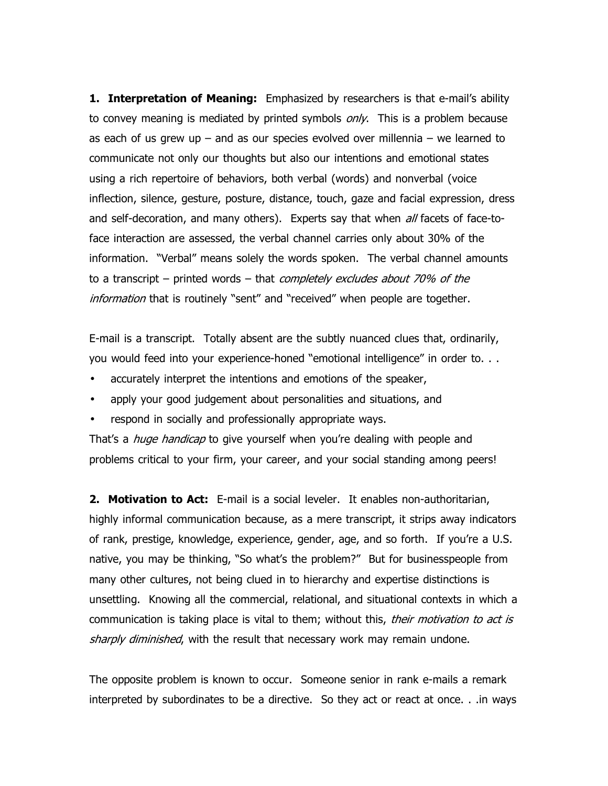1. Interpretation of Meaning: Emphasized by researchers is that e-mail's ability to convey meaning is mediated by printed symbols *only*. This is a problem because as each of us grew up  $-$  and as our species evolved over millennia  $-$  we learned to communicate not only our thoughts but also our intentions and emotional states using a rich repertoire of behaviors, both verbal (words) and nonverbal (voice inflection, silence, gesture, posture, distance, touch, gaze and facial expression, dress and self-decoration, and many others). Experts say that when  $a/f$  facets of face-toface interaction are assessed, the verbal channel carries only about 30% of the information. "Verbal" means solely the words spoken. The verbal channel amounts to a transcript – printed words – that *completely excludes about 70% of the* information that is routinely "sent" and "received" when people are together.

E-mail is a transcript. Totally absent are the subtly nuanced clues that, ordinarily, you would feed into your experience-honed "emotional intelligence" in order to. . .

- accurately interpret the intentions and emotions of the speaker,
- apply your good judgement about personalities and situations, and
- respond in socially and professionally appropriate ways.

That's a *huge handicap* to give yourself when you're dealing with people and problems critical to your firm, your career, and your social standing among peers!

**2. Motivation to Act:** E-mail is a social leveler. It enables non-authoritarian, highly informal communication because, as a mere transcript, it strips away indicators of rank, prestige, knowledge, experience, gender, age, and so forth. If you're a U.S. native, you may be thinking, "So what's the problem?" But for businesspeople from many other cultures, not being clued in to hierarchy and expertise distinctions is unsettling. Knowing all the commercial, relational, and situational contexts in which a communication is taking place is vital to them; without this, *their motivation to act is* sharply diminished, with the result that necessary work may remain undone.

The opposite problem is known to occur. Someone senior in rank e-mails a remark interpreted by subordinates to be a directive. So they act or react at once. . .in ways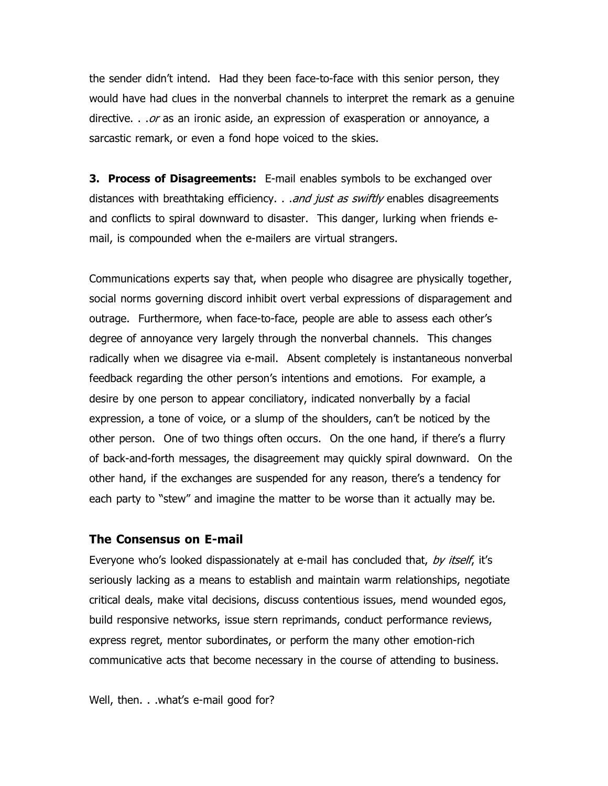the sender didn't intend. Had they been face-to-face with this senior person, they would have had clues in the nonverbal channels to interpret the remark as a genuine directive. . . or as an ironic aside, an expression of exasperation or annoyance, a sarcastic remark, or even a fond hope voiced to the skies.

**3. Process of Disagreements:** E-mail enables symbols to be exchanged over distances with breathtaking efficiency. . . *and just as swiftly* enables disagreements and conflicts to spiral downward to disaster. This danger, lurking when friends email, is compounded when the e-mailers are virtual strangers.

Communications experts say that, when people who disagree are physically together, social norms governing discord inhibit overt verbal expressions of disparagement and outrage. Furthermore, when face-to-face, people are able to assess each other's degree of annoyance very largely through the nonverbal channels. This changes radically when we disagree via e-mail. Absent completely is instantaneous nonverbal feedback regarding the other person's intentions and emotions. For example, a desire by one person to appear conciliatory, indicated nonverbally by a facial expression, a tone of voice, or a slump of the shoulders, can't be noticed by the other person. One of two things often occurs. On the one hand, if there's a flurry of back-and-forth messages, the disagreement may quickly spiral downward. On the other hand, if the exchanges are suspended for any reason, there's a tendency for each party to "stew" and imagine the matter to be worse than it actually may be.

## The Consensus on E-mail

Everyone who's looked dispassionately at e-mail has concluded that, by itself, it's seriously lacking as a means to establish and maintain warm relationships, negotiate critical deals, make vital decisions, discuss contentious issues, mend wounded egos, build responsive networks, issue stern reprimands, conduct performance reviews, express regret, mentor subordinates, or perform the many other emotion-rich communicative acts that become necessary in the course of attending to business.

Well, then. . .what's e-mail good for?